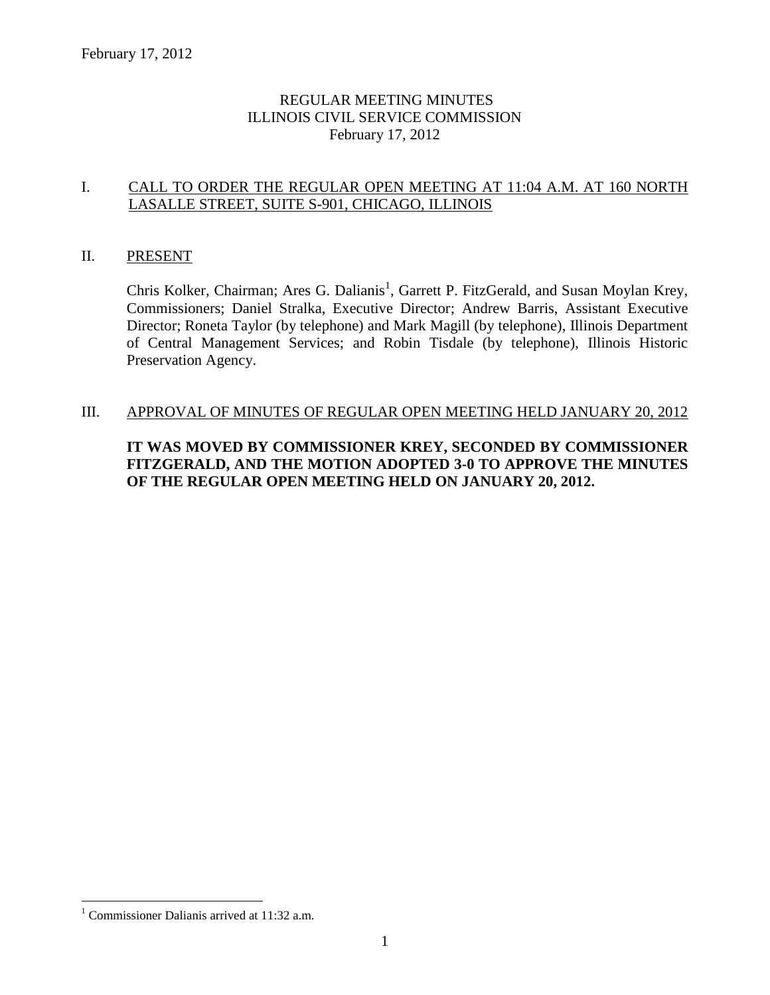## REGULAR MEETING MINUTES ILLINOIS CIVIL SERVICE COMMISSION February 17, 2012

## I. CALL TO ORDER THE REGULAR OPEN MEETING AT 11:04 A.M. AT 160 NORTH LASALLE STREET, SUITE S-901, CHICAGO, ILLINOIS

#### II. PRESENT

Chris Kolker, Chairman; Ares G. Dalianis<sup>1</sup>, Garrett P. FitzGerald, and Susan Moylan Krey, Commissioners; Daniel Stralka, Executive Director; Andrew Barris, Assistant Executive Director; Roneta Taylor (by telephone) and Mark Magill (by telephone), Illinois Department of Central Management Services; and Robin Tisdale (by telephone), Illinois Historic Preservation Agency.

#### III. APPROVAL OF MINUTES OF REGULAR OPEN MEETING HELD JANUARY 20, 2012

## **IT WAS MOVED BY COMMISSIONER KREY, SECONDED BY COMMISSIONER FITZGERALD, AND THE MOTION ADOPTED 3-0 TO APPROVE THE MINUTES OF THE REGULAR OPEN MEETING HELD ON JANUARY 20, 2012.**

 $\overline{a}$ 

<sup>&</sup>lt;sup>1</sup> Commissioner Dalianis arrived at  $11:32$  a.m.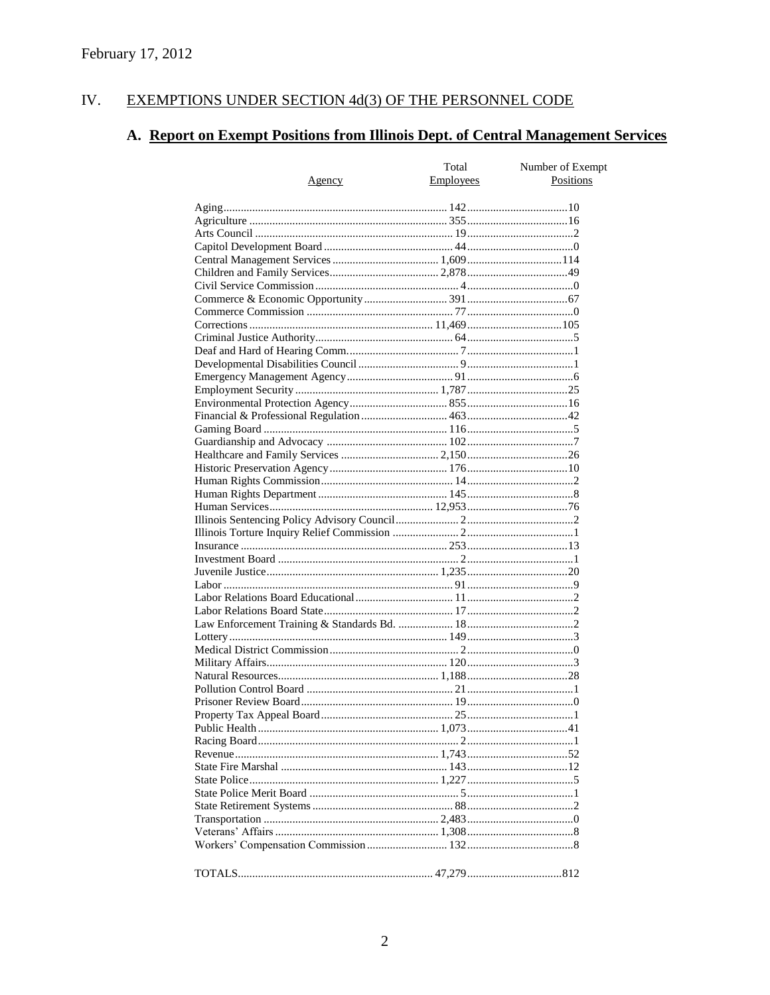#### IV. EXEMPTIONS UNDER SECTION 4d(3) OF THE PERSONNEL CODE

# A. Report on Exempt Positions from Illinois Dept. of Central Management Services

| Positions<br>Employees<br><u>Agency</u> | Total | Number of Exempt |
|-----------------------------------------|-------|------------------|
|                                         |       |                  |
|                                         |       |                  |
|                                         |       |                  |
|                                         |       |                  |
|                                         |       |                  |
|                                         |       |                  |
|                                         |       |                  |
|                                         |       |                  |
|                                         |       |                  |
|                                         |       |                  |
|                                         |       |                  |
|                                         |       |                  |
|                                         |       |                  |
|                                         |       |                  |
|                                         |       |                  |
|                                         |       |                  |
|                                         |       |                  |
|                                         |       |                  |
|                                         |       |                  |
|                                         |       |                  |
|                                         |       |                  |
|                                         |       |                  |
|                                         |       |                  |
|                                         |       |                  |
|                                         |       |                  |
|                                         |       |                  |
|                                         |       |                  |
|                                         |       |                  |
|                                         |       |                  |
|                                         |       |                  |
|                                         |       |                  |
|                                         |       |                  |
|                                         |       |                  |
|                                         |       |                  |
|                                         |       |                  |
|                                         |       |                  |
|                                         |       |                  |
|                                         |       |                  |
|                                         |       |                  |
|                                         |       |                  |
|                                         |       |                  |
|                                         |       |                  |
|                                         |       |                  |
|                                         |       |                  |
|                                         |       |                  |
|                                         |       |                  |
|                                         |       |                  |
|                                         |       |                  |
|                                         |       |                  |
|                                         |       |                  |
|                                         |       |                  |
|                                         |       |                  |
|                                         |       |                  |
|                                         |       |                  |
|                                         |       |                  |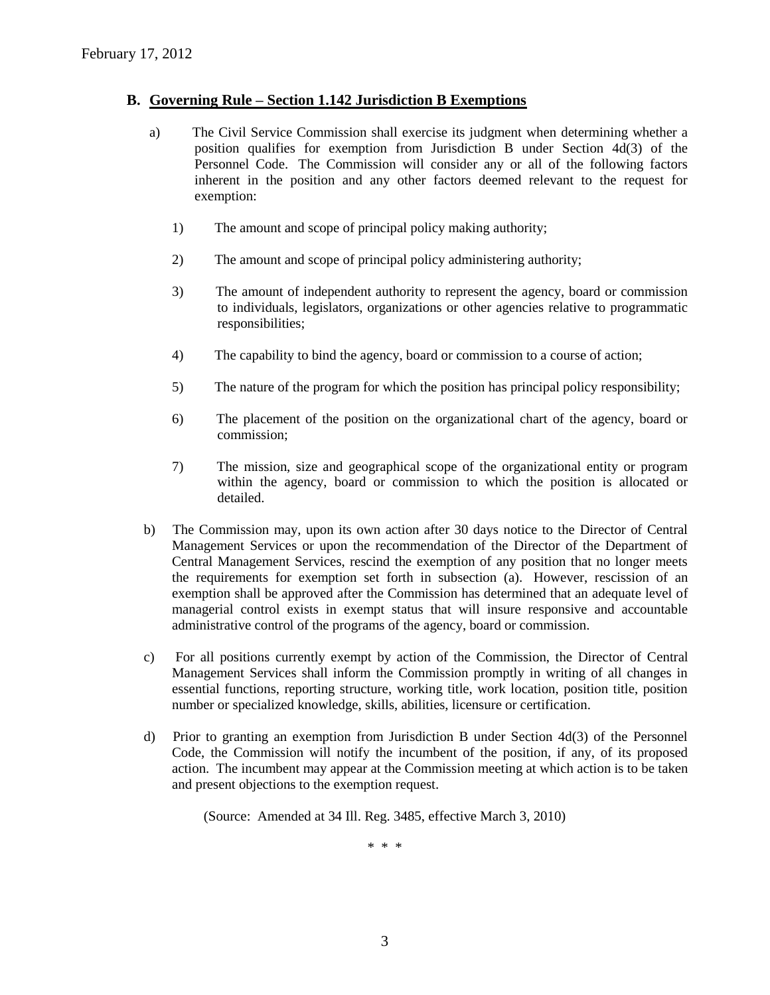#### **B. Governing Rule – Section 1.142 Jurisdiction B Exemptions**

- a) The Civil Service Commission shall exercise its judgment when determining whether a position qualifies for exemption from Jurisdiction B under Section 4d(3) of the Personnel Code. The Commission will consider any or all of the following factors inherent in the position and any other factors deemed relevant to the request for exemption:
	- 1) The amount and scope of principal policy making authority;
	- 2) The amount and scope of principal policy administering authority;
	- 3) The amount of independent authority to represent the agency, board or commission to individuals, legislators, organizations or other agencies relative to programmatic responsibilities;
	- 4) The capability to bind the agency, board or commission to a course of action;
	- 5) The nature of the program for which the position has principal policy responsibility;
	- 6) The placement of the position on the organizational chart of the agency, board or commission;
	- 7) The mission, size and geographical scope of the organizational entity or program within the agency, board or commission to which the position is allocated or detailed.
- b) The Commission may, upon its own action after 30 days notice to the Director of Central Management Services or upon the recommendation of the Director of the Department of Central Management Services, rescind the exemption of any position that no longer meets the requirements for exemption set forth in subsection (a). However, rescission of an exemption shall be approved after the Commission has determined that an adequate level of managerial control exists in exempt status that will insure responsive and accountable administrative control of the programs of the agency, board or commission.
- c) For all positions currently exempt by action of the Commission, the Director of Central Management Services shall inform the Commission promptly in writing of all changes in essential functions, reporting structure, working title, work location, position title, position number or specialized knowledge, skills, abilities, licensure or certification.
- d) Prior to granting an exemption from Jurisdiction B under Section 4d(3) of the Personnel Code, the Commission will notify the incumbent of the position, if any, of its proposed action. The incumbent may appear at the Commission meeting at which action is to be taken and present objections to the exemption request.

(Source: Amended at 34 Ill. Reg. 3485, effective March 3, 2010)

\* \* \*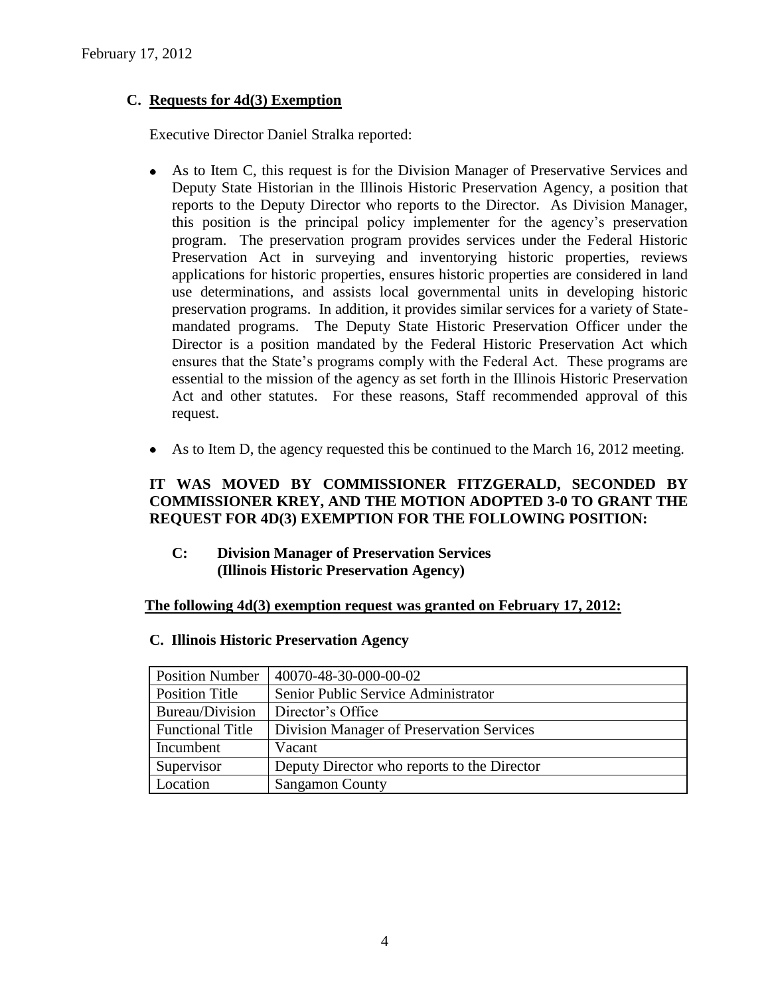## **C. Requests for 4d(3) Exemption**

Executive Director Daniel Stralka reported:

- As to Item C, this request is for the Division Manager of Preservative Services and  $\bullet$ Deputy State Historian in the Illinois Historic Preservation Agency, a position that reports to the Deputy Director who reports to the Director. As Division Manager, this position is the principal policy implementer for the agency's preservation program. The preservation program provides services under the Federal Historic Preservation Act in surveying and inventorying historic properties, reviews applications for historic properties, ensures historic properties are considered in land use determinations, and assists local governmental units in developing historic preservation programs. In addition, it provides similar services for a variety of Statemandated programs. The Deputy State Historic Preservation Officer under the Director is a position mandated by the Federal Historic Preservation Act which ensures that the State's programs comply with the Federal Act. These programs are essential to the mission of the agency as set forth in the Illinois Historic Preservation Act and other statutes. For these reasons, Staff recommended approval of this request.
- As to Item D, the agency requested this be continued to the March 16, 2012 meeting.  $\bullet$

## **IT WAS MOVED BY COMMISSIONER FITZGERALD, SECONDED BY COMMISSIONER KREY, AND THE MOTION ADOPTED 3-0 TO GRANT THE REQUEST FOR 4D(3) EXEMPTION FOR THE FOLLOWING POSITION:**

**C: Division Manager of Preservation Services (Illinois Historic Preservation Agency)**

#### **The following 4d(3) exemption request was granted on February 17, 2012:**

| <b>Position Number</b>  | 40070-48-30-000-00-02                       |
|-------------------------|---------------------------------------------|
| Position Title          | Senior Public Service Administrator         |
| Bureau/Division         | Director's Office                           |
| <b>Functional Title</b> | Division Manager of Preservation Services   |
| Incumbent               | Vacant                                      |
| Supervisor              | Deputy Director who reports to the Director |
| Location                | <b>Sangamon County</b>                      |

#### **C. Illinois Historic Preservation Agency**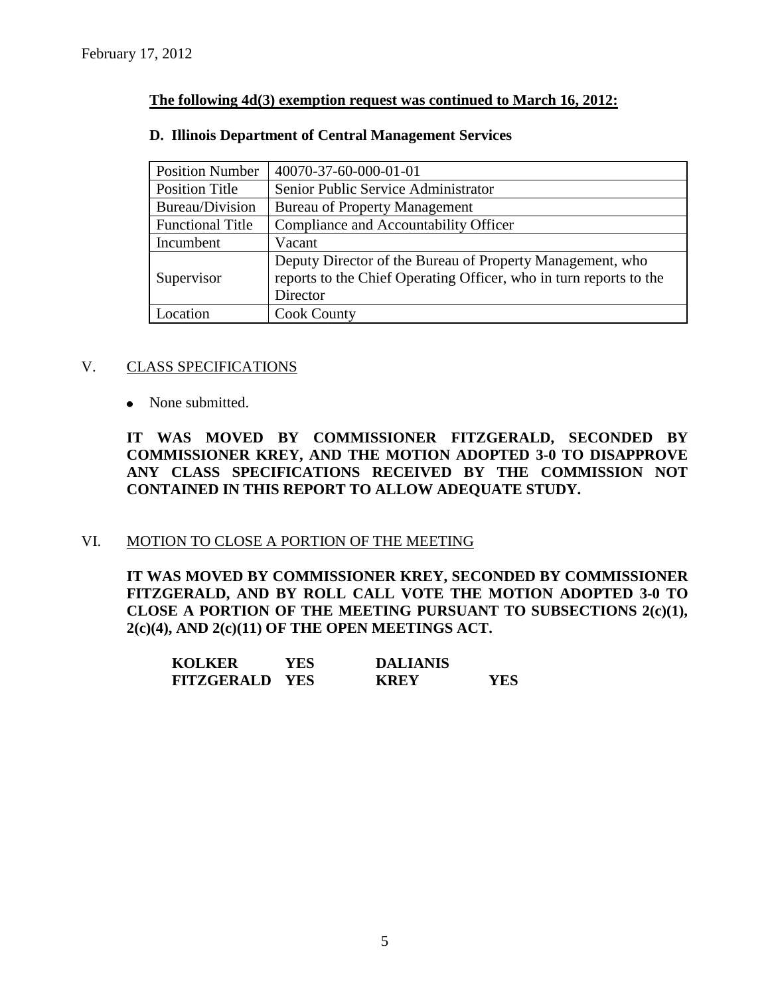#### **The following 4d(3) exemption request was continued to March 16, 2012:**

| <b>Position Number</b>  | 40070-37-60-000-01-01                                              |
|-------------------------|--------------------------------------------------------------------|
| Position Title          | Senior Public Service Administrator                                |
| Bureau/Division         | <b>Bureau of Property Management</b>                               |
| <b>Functional Title</b> | Compliance and Accountability Officer                              |
| Incumbent               | Vacant                                                             |
|                         | Deputy Director of the Bureau of Property Management, who          |
| Supervisor              | reports to the Chief Operating Officer, who in turn reports to the |
|                         | Director                                                           |
| Location                | <b>Cook County</b>                                                 |

#### **D. Illinois Department of Central Management Services**

#### V. CLASS SPECIFICATIONS

• None submitted.

**IT WAS MOVED BY COMMISSIONER FITZGERALD, SECONDED BY COMMISSIONER KREY, AND THE MOTION ADOPTED 3-0 TO DISAPPROVE ANY CLASS SPECIFICATIONS RECEIVED BY THE COMMISSION NOT CONTAINED IN THIS REPORT TO ALLOW ADEQUATE STUDY.** 

## VI. MOTION TO CLOSE A PORTION OF THE MEETING

**IT WAS MOVED BY COMMISSIONER KREY, SECONDED BY COMMISSIONER FITZGERALD, AND BY ROLL CALL VOTE THE MOTION ADOPTED 3-0 TO CLOSE A PORTION OF THE MEETING PURSUANT TO SUBSECTIONS 2(c)(1), 2(c)(4), AND 2(c)(11) OF THE OPEN MEETINGS ACT.**

| <b>KOLKER</b>         | YES | <b>DALIANIS</b> |      |
|-----------------------|-----|-----------------|------|
| <b>FITZGERALD YES</b> |     | <b>KREY</b>     | YES. |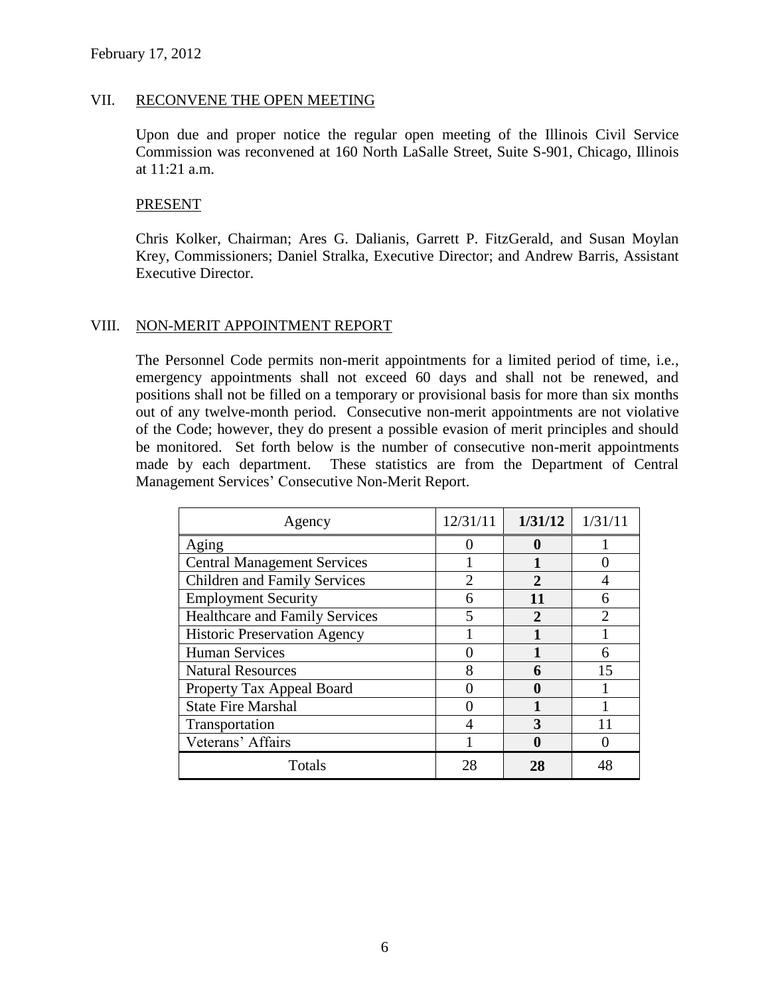#### VII. RECONVENE THE OPEN MEETING

Upon due and proper notice the regular open meeting of the Illinois Civil Service Commission was reconvened at 160 North LaSalle Street, Suite S-901, Chicago, Illinois at 11:21 a.m.

#### PRESENT

Chris Kolker, Chairman; Ares G. Dalianis, Garrett P. FitzGerald, and Susan Moylan Krey, Commissioners; Daniel Stralka, Executive Director; and Andrew Barris, Assistant Executive Director.

#### VIII. NON-MERIT APPOINTMENT REPORT

The Personnel Code permits non-merit appointments for a limited period of time, i.e., emergency appointments shall not exceed 60 days and shall not be renewed, and positions shall not be filled on a temporary or provisional basis for more than six months out of any twelve-month period. Consecutive non-merit appointments are not violative of the Code; however, they do present a possible evasion of merit principles and should be monitored. Set forth below is the number of consecutive non-merit appointments made by each department. These statistics are from the Department of Central Management Services' Consecutive Non-Merit Report.

| Agency                                | 12/31/11                    | 1/31/12               | 1/31/11                     |
|---------------------------------------|-----------------------------|-----------------------|-----------------------------|
| Aging                                 |                             | o                     |                             |
| <b>Central Management Services</b>    |                             |                       |                             |
| <b>Children and Family Services</b>   | $\mathcal{D}_{\mathcal{A}}$ | $\mathcal{D}_{\cdot}$ |                             |
| <b>Employment Security</b>            | 6                           | 11                    |                             |
| <b>Healthcare and Family Services</b> | 5                           | $\mathbf{2}$          | $\mathcal{D}_{\mathcal{L}}$ |
| <b>Historic Preservation Agency</b>   |                             |                       |                             |
| <b>Human Services</b>                 |                             |                       | 6                           |
| <b>Natural Resources</b>              | 8                           | 6                     | 15                          |
| Property Tax Appeal Board             |                             | 0                     |                             |
| <b>State Fire Marshal</b>             |                             |                       |                             |
| Transportation                        |                             | 3                     |                             |
| Veterans' Affairs                     |                             |                       |                             |
| Totals                                | 28                          | 28                    |                             |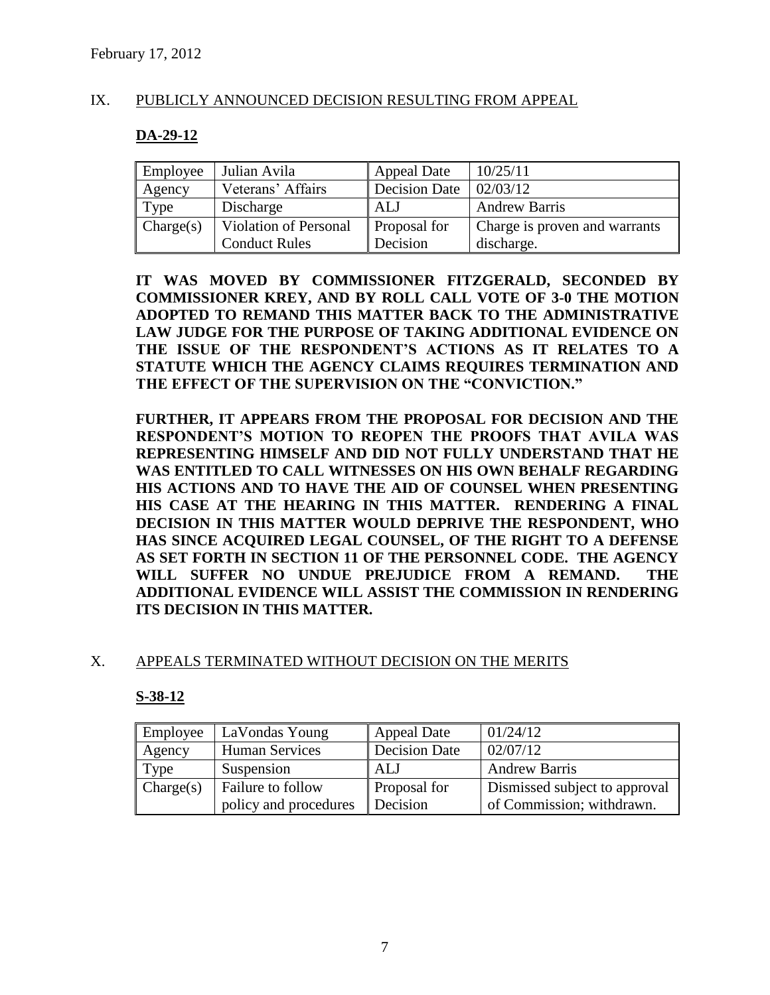#### IX. PUBLICLY ANNOUNCED DECISION RESULTING FROM APPEAL

#### **DA-29-12**

| Employee  | Julian Avila                 | <b>Appeal Date</b>   | 10/25/11                      |
|-----------|------------------------------|----------------------|-------------------------------|
| Agency    | Veterans' Affairs            | <b>Decision Date</b> | 02/03/12                      |
| Type      | Discharge                    | ALJ                  | <b>Andrew Barris</b>          |
| Change(s) | <b>Violation of Personal</b> | <b>Proposal for</b>  | Charge is proven and warrants |
|           | <b>Conduct Rules</b>         | Decision             | discharge.                    |

**IT WAS MOVED BY COMMISSIONER FITZGERALD, SECONDED BY COMMISSIONER KREY, AND BY ROLL CALL VOTE OF 3-0 THE MOTION ADOPTED TO REMAND THIS MATTER BACK TO THE ADMINISTRATIVE LAW JUDGE FOR THE PURPOSE OF TAKING ADDITIONAL EVIDENCE ON THE ISSUE OF THE RESPONDENT'S ACTIONS AS IT RELATES TO A STATUTE WHICH THE AGENCY CLAIMS REQUIRES TERMINATION AND THE EFFECT OF THE SUPERVISION ON THE "CONVICTION."** 

**FURTHER, IT APPEARS FROM THE PROPOSAL FOR DECISION AND THE RESPONDENT'S MOTION TO REOPEN THE PROOFS THAT AVILA WAS REPRESENTING HIMSELF AND DID NOT FULLY UNDERSTAND THAT HE WAS ENTITLED TO CALL WITNESSES ON HIS OWN BEHALF REGARDING HIS ACTIONS AND TO HAVE THE AID OF COUNSEL WHEN PRESENTING HIS CASE AT THE HEARING IN THIS MATTER. RENDERING A FINAL DECISION IN THIS MATTER WOULD DEPRIVE THE RESPONDENT, WHO HAS SINCE ACQUIRED LEGAL COUNSEL, OF THE RIGHT TO A DEFENSE AS SET FORTH IN SECTION 11 OF THE PERSONNEL CODE. THE AGENCY WILL SUFFER NO UNDUE PREJUDICE FROM A REMAND. THE ADDITIONAL EVIDENCE WILL ASSIST THE COMMISSION IN RENDERING ITS DECISION IN THIS MATTER.**

#### X. APPEALS TERMINATED WITHOUT DECISION ON THE MERITS

#### **S-38-12**

| Employee  | LaVondas Young        | <b>Appeal Date</b>  | 01/24/12                      |
|-----------|-----------------------|---------------------|-------------------------------|
| Agency    | <b>Human Services</b> | Decision Date       | 02/07/12                      |
| Type      | Suspension            | ALJ                 | <b>Andrew Barris</b>          |
| Change(s) | Failure to follow     | <b>Proposal for</b> | Dismissed subject to approval |
|           | policy and procedures | Decision            | of Commission; withdrawn.     |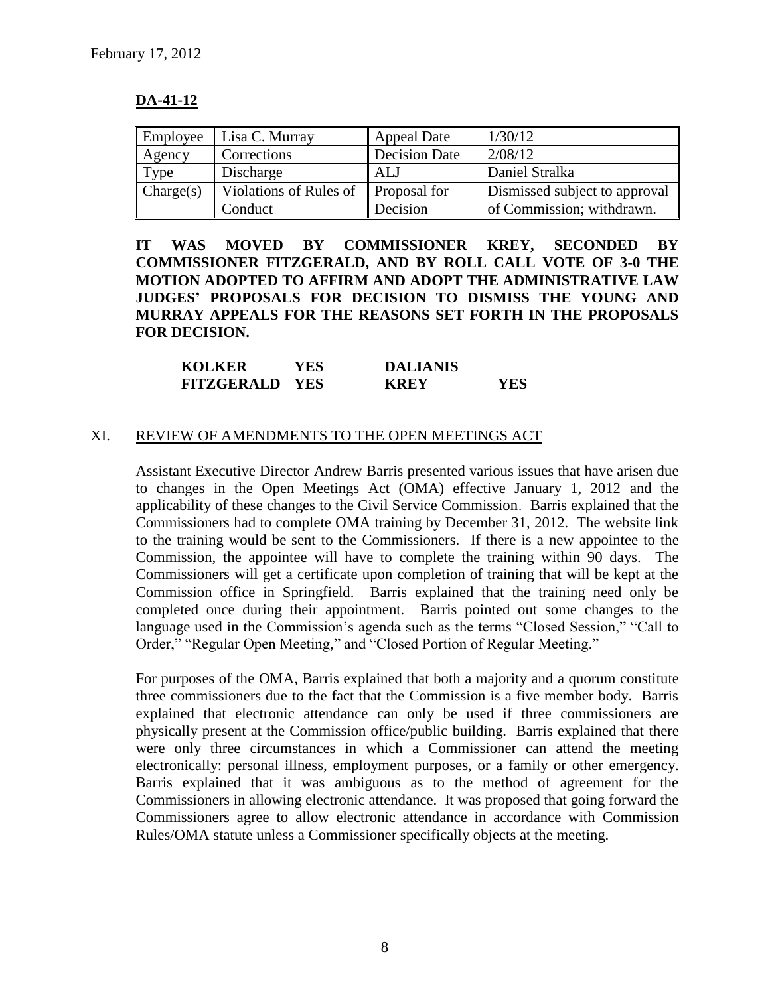## **DA-41-12**

| Employee  | Lisa C. Murray                           | Appeal Date   | 1/30/12                       |
|-----------|------------------------------------------|---------------|-------------------------------|
| Agency    | Corrections                              | Decision Date | 2/08/12                       |
| Type      | Discharge                                | ALJ           | Daniel Stralka                |
| Change(s) | Violations of Rules of $\ $ Proposal for |               | Dismissed subject to approval |
|           | Conduct                                  | Decision      | of Commission; withdrawn.     |

**IT WAS MOVED BY COMMISSIONER KREY, SECONDED BY COMMISSIONER FITZGERALD, AND BY ROLL CALL VOTE OF 3-0 THE MOTION ADOPTED TO AFFIRM AND ADOPT THE ADMINISTRATIVE LAW JUDGES' PROPOSALS FOR DECISION TO DISMISS THE YOUNG AND MURRAY APPEALS FOR THE REASONS SET FORTH IN THE PROPOSALS FOR DECISION.**

| <b>KOLKER</b>         | YES | <b>DALIANIS</b> |     |
|-----------------------|-----|-----------------|-----|
| <b>FITZGERALD YES</b> |     | <b>KREY</b>     | YES |

#### XI. REVIEW OF AMENDMENTS TO THE OPEN MEETINGS ACT

Assistant Executive Director Andrew Barris presented various issues that have arisen due to changes in the Open Meetings Act (OMA) effective January 1, 2012 and the applicability of these changes to the Civil Service Commission. Barris explained that the Commissioners had to complete OMA training by December 31, 2012. The website link to the training would be sent to the Commissioners. If there is a new appointee to the Commission, the appointee will have to complete the training within 90 days. The Commissioners will get a certificate upon completion of training that will be kept at the Commission office in Springfield. Barris explained that the training need only be completed once during their appointment. Barris pointed out some changes to the language used in the Commission's agenda such as the terms "Closed Session," "Call to Order," "Regular Open Meeting," and "Closed Portion of Regular Meeting."

For purposes of the OMA, Barris explained that both a majority and a quorum constitute three commissioners due to the fact that the Commission is a five member body. Barris explained that electronic attendance can only be used if three commissioners are physically present at the Commission office/public building. Barris explained that there were only three circumstances in which a Commissioner can attend the meeting electronically: personal illness, employment purposes, or a family or other emergency. Barris explained that it was ambiguous as to the method of agreement for the Commissioners in allowing electronic attendance. It was proposed that going forward the Commissioners agree to allow electronic attendance in accordance with Commission Rules/OMA statute unless a Commissioner specifically objects at the meeting.